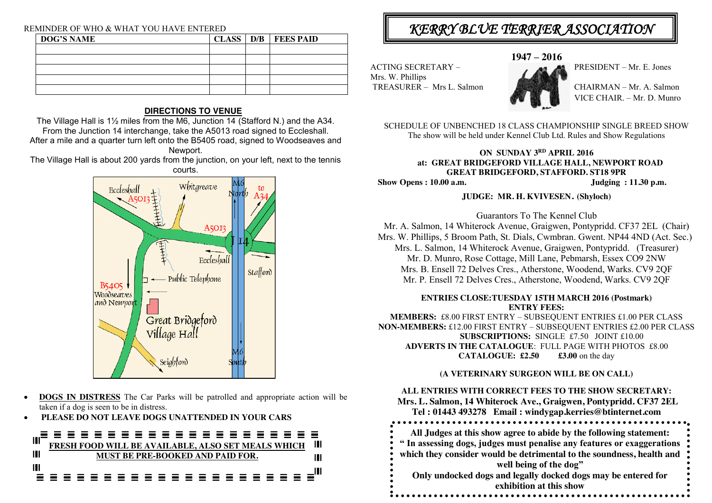#### REMINDER OF WHO & WHAT YOU HAVE ENTERED

| <b>DOG'S NAME</b> |  | CLASS   D/B   FEES PAID |
|-------------------|--|-------------------------|
|                   |  |                         |
|                   |  |                         |
|                   |  |                         |
|                   |  |                         |
|                   |  |                         |

## **DIRECTIONS TO VENUE**

The Village Hall is 1½ miles from the M6, Junction 14 (Stafford N.) and the A34. From the Junction 14 interchange, take the A5013 road signed to Eccleshall. After a mile and a quarter turn left onto the B5405 road, signed to Woodseaves and Newport.

The Village Hall is about 200 yards from the junction, on your left, next to the tennis courts.



- **DOGS IN DISTRESS** The Car Parks will be patrolled and appropriate action will be taken if a dog is seen to be in distress.
- **PLEASE DO NOT LEAVE DOGS UNATTENDED IN YOUR CARS**



## KERRY BLUE TERRIER ASSOCIATION

**1947 – 2016**

PRESIDENT – Mr. E. Jones

Mrs. W. Phillips TREASURER – Mrs L. Salmon CHAIRMAN – Mr. A. Salmon

ACTING SECRETARY –



VICE CHAIR. – Mr. D. Munro

SCHEDULE OF UNBENCHED 18 CLASS CHAMPIONSHIP SINGLE BREED SHOW The show will be held under Kennel Club Ltd. Rules and Show Regulations

## **ON SUNDAY 3RD APRIL 2016 at: GREAT BRIDGEFORD VILLAGE HALL, NEWPORT ROAD GREAT BRIDGEFORD, STAFFORD. ST18 9PR**  $Show$  Opens : 10.00 a.m.

## **JUDGE: MR. H. KVIVESEN**. **(Shyloch)**

Guarantors To The Kennel Club Mr. A. Salmon, 14 Whiterock Avenue, Graigwen, Pontypridd. CF37 2EL (Chair) Mrs. W. Phillips, 5 Broom Path, St. Dials, Cwmbran. Gwent. NP44 4ND (Act. Sec.) Mrs. L. Salmon, 14 Whiterock Avenue, Graigwen, Pontypridd. (Treasurer) Mr. D. Munro, Rose Cottage, Mill Lane, Pebmarsh, Essex CO9 2NW Mrs. B. Ensell 72 Delves Cres., Atherstone, Woodend, Warks. CV9 2QF Mr. P. Ensell 72 Delves Cres., Atherstone, Woodend, Warks. CV9 2QF

### **ENTRIES CLOSE:TUESDAY 15TH MARCH 2016 (Postmark) ENTRY FEES:**

**MEMBERS:** £8.00 FIRST ENTRY – SUBSEQUENT ENTRIES £1.00 PER CLASS **NON-MEMBERS:** £12.00 FIRST ENTRY – SUBSEQUENT ENTRIES £2.00 PER CLASS **SUBSCRIPTIONS:** SINGLE £7.50 JOINT £10.00 **ADVERTS IN THE CATALOGUE**: FULL PAGE WITH PHOTOS £8.00 **CATALOGUE: £2.50 £3.00** on the day

**(A VETERINARY SURGEON WILL BE ON CALL)**

## **ALL ENTRIES WITH CORRECT FEES TO THE SHOW SECRETARY:**

**Mrs. L. Salmon, 14 Whiterock Ave., Graigwen, Pontypridd. CF37 2EL Tel : 01443 493278 Email : windygap.kerries@btinternet.com All Judges at this show agree to abide by the following statement: " In assessing dogs, judges must penalise any features or exaggerations which they consider would be detrimental to the soundness, health and well being of the dog" Only undocked dogs and legally docked dogs may be entered for exhibition at this show**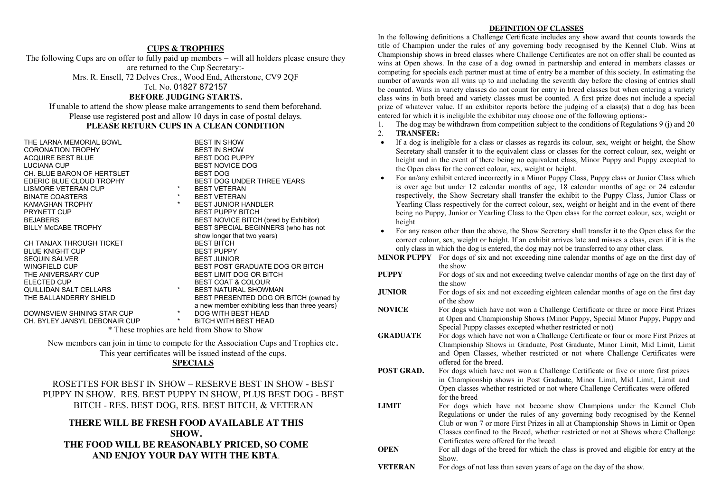#### **CUPS & TROPHIES**

The following Cups are on offer to fully paid up members – will all holders please ensure they are returned to the Cup Secretary:-

Mrs. R. Ensell, 72 Delves Cres., Wood End, Atherstone, CV9 2QF

Tel. No. 01827 872157

#### **BEFORE JUDGING STARTS.**

If unable to attend the show please make arrangements to send them beforehand. Please use registered post and allow 10 days in case of postal delays. **PLEASE RETURN CUPS IN A CLEAN CONDITION**

THE LARNA MEMORIAL BOWL THE LARNA MEMORIAL BOWL<br>CORONATION TROPHY CORONATION TROPHY<br>
ACQUIRE BEST BLUE<br>
ACQUIRE BEST BLUE ACQUIRE BEST BLUE<br>LUCIANA CUP CH. BLUE BARON OF HERTSLET<br>EDERIC BLUE CLOUD TROPHY LISMORE VETERAN CUP BINATE COASTERS \* BEST VETERAN KAMAGHAN TROPHY \* BEST JUNIOR HANDLER PRYNETT CUP BEST PUPPY BITCH CH TANJAX THROUGH TICKET

BLUE KNIGHT CUP BEST PUPPY SEQUIN SALVER<br>WINGFIELD CUP

DOWNSVIEW SHINING STAR CUP  $\begin{array}{ccc} * & \text{DOG WITH BEST HEAD} \\ \text{CH. BYLEY JANSYL DEBONAIR CUP} & * & \text{BITCH WITH BEST HEAD} \end{array}$ CH. BYLEY JANSYL DEBONAIR CUP

BEST NOVICE DOG<br>BEST DOG BEST DOG UNDER THREE YEARS<br>BEST VETERAN BEST NOVICE BITCH (bred by Exhibitor) BILLY McCABE TROPHY BEST SPECIAL BEGINNERS (who has not show longer that two years)<br>BEST BITCH WINGFIELD CUP<br>THE ANIVERSARY CUP THE BEST LIMIT DOG OR BITCH BEST LIMIT DOG OR BITCH ELECTED CUP **BEST COAT & COLOUR** QUILLIDAN SALT CELLARS \* BEST NATURAL SHOWMAN<br>THE BALLANDERRY SHIELD \* BEST PRESENTED DOG OR BEST PRESENTED DOG OR BITCH (owned by a new member exhibiting less than three years)

\* These trophies are held from Show to Show

New members can join in time to compete for the Association Cups and Trophies etc. This year certificates will be issued instead of the cups.

#### **SPECIALS**

ROSETTES FOR BEST IN SHOW – RESERVE BEST IN SHOW - BEST PUPPY IN SHOW. RES. BEST PUPPY IN SHOW, PLUS BEST DOG - BEST BITCH - RES. BEST DOG, RES. BEST BITCH, & VETERAN

### **THERE WILL BE FRESH FOOD AVAILABLE AT THIS SHOW. THE FOOD WILL BE REASONABLY PRICED, SO COME AND ENJOY YOUR DAY WITH THE KBTA**.

#### **DEFINITION OF CLASSES**

In the following definitions a Challenge Certificate includes any show award that counts towards the title of Champion under the rules of any governing body recognised by the Kennel Club. Wins at Championship shows in breed classes where Challenge Certificates are not on offer shall be counted as wins at Open shows. In the case of a dog owned in partnership and entered in members classes or competing for specials each partner must at time of entry be a member of this society. In estimating the number of awards won all wins up to and including the seventh day before the closing of entries shall be counted. Wins in variety classes do not count for entry in breed classes but when entering a variety class wins in both breed and variety classes must be counted. A first prize does not include a special prize of whatever value. If an exhibitor reports before the judging of a class(s) that a dog has been entered for which it is ineligible the exhibitor may choose one of the following options:-

1. The dog may be withdrawn from competition subject to the conditions of Regulations 9 (j) and 20

#### 2. **TRANSFER:**

- If a dog is ineligible for a class or classes as regards its colour, sex, weight or height, the Show Secretary shall transfer it to the equivalent class or classes for the correct colour, sex, weight or height and in the event of there being no equivalent class, Minor Puppy and Puppy excepted to the Open class for the correct colour, sex, weight or height.
- For an/any exhibit entered incorrectly in a Minor Puppy Class, Puppy class or Junior Class which is over age but under 12 calendar months of age, 18 calendar months of age or 24 calendar respectively, the Show Secretary shall transfer the exhibit to the Puppy Class, Junior Class or Yearling Class respectively for the correct colour, sex, weight or height and in the event of there being no Puppy, Junior or Yearling Class to the Open class for the correct colour, sex, weight or height
- For any reason other than the above, the Show Secretary shall transfer it to the Open class for the correct colour, sex, weight or height. If an exhibit arrives late and misses a class, even if it is the only class in which the dog is entered, the dog may not be transferred to any other class.
- **MINOR PUPPY** For dogs of six and not exceeding nine calendar months of age on the first day of the show
- **PUPPY** For dogs of six and not exceeding twelve calendar months of age on the first day of the show
- **JUNIOR** For dogs of six and not exceeding eighteen calendar months of age on the first day of the show
- **NOVICE** For dogs which have not won a Challenge Certificate or three or more First Prizes at Open and Championship Shows (Minor Puppy, Special Minor Puppy, Puppy and Special Puppy classes excepted whether restricted or not)
- **GRADUATE** For dogs which have not won a Challenge Certificate or four or more First Prizes at Championship Shows in Graduate, Post Graduate, Minor Limit, Mid Limit, Limit and Open Classes, whether restricted or not where Challenge Certificates were offered for the breed.
- **POST GRAD.** For dogs which have not won a Challenge Certificate or five or more first prizes in Championship shows in Post Graduate, Minor Limit, Mid Limit, Limit and Open classes whether restricted or not where Challenge Certificates were offered for the breed
- **LIMIT** For dogs which have not become show Champions under the Kennel Club Regulations or under the rules of any governing body recognised by the Kennel Club or won 7 or more First Prizes in all at Championship Shows in Limit or Open Classes confined to the Breed, whether restricted or not at Shows where Challenge Certificates were offered for the breed.
- **OPEN** For all dogs of the breed for which the class is proved and eligible for entry at the Show.
- **VETERAN** For dogs of not less than seven years of age on the day of the show.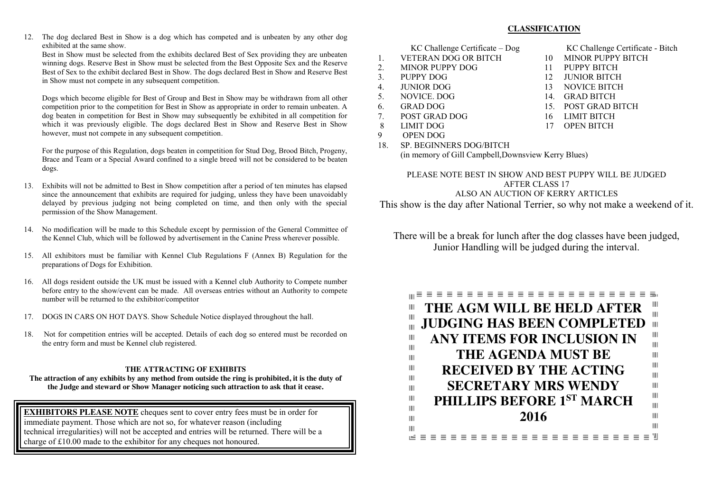12. The dog declared Best in Show is a dog which has competed and is unbeaten by any other dog exhibited at the same show.

Best in Show must be selected from the exhibits declared Best of Sex providing they are unbeaten winning dogs. Reserve Best in Show must be selected from the Best Opposite Sex and the Reserve Best of Sex to the exhibit declared Best in Show. The dogs declared Best in Show and Reserve Best in Show must not compete in any subsequent competition.

Dogs which become eligible for Best of Group and Best in Show may be withdrawn from all other competition prior to the competition for Best in Show as appropriate in order to remain unbeaten. A dog beaten in competition for Best in Show may subsequently be exhibited in all competition for which it was previously eligible. The dogs declared Best in Show and Reserve Best in Show however, must not compete in any subsequent competition.

For the purpose of this Regulation, dogs beaten in competition for Stud Dog, Brood Bitch, Progeny, Brace and Team or a Special Award confined to a single breed will not be considered to be beaten dogs.

- 13. Exhibits will not be admitted to Best in Show competition after a period of ten minutes has elapsed since the announcement that exhibits are required for judging, unless they have been unavoidably delayed by previous judging not being completed on time, and then only with the special permission of the Show Management.
- 14. No modification will be made to this Schedule except by permission of the General Committee of the Kennel Club, which will be followed by advertisement in the Canine Press wherever possible.
- 15. All exhibitors must be familiar with Kennel Club Regulations F (Annex B) Regulation for the preparations of Dogs for Exhibition.
- 16. All dogs resident outside the UK must be issued with a Kennel club Authority to Compete number before entry to the show/event can be made. All overseas entries without an Authority to compete number will be returned to the exhibitor/competitor
- 17. DOGS IN CARS ON HOT DAYS. Show Schedule Notice displayed throughout the hall.
- 18. Not for competition entries will be accepted. Details of each dog so entered must be recorded on the entry form and must be Kennel club registered.

#### **THE ATTRACTING OF EXHIBITS**

**The attraction of any exhibits by any method from outside the ring is prohibited, it is the duty of the Judge and steward or Show Manager noticing such attraction to ask that it cease.**

**EXHIBITORS PLEASE NOTE** cheques sent to cover entry fees must be in order for immediate payment. Those which are not so, for whatever reason (including technical irregularities) will not be accepted and entries will be returned. There will be a charge of £10.00 made to the exhibitor for any cheques not honoured.

- 1. VETERAN DOG OR BITCH 10 MINOR PUPPY BITCH<br>2 MINOR PUPPY DOG 11 PUPPY BITCH
- 2. MINOR PUPPY DOG 11<br>3 PUPPY DOG 12 3 PUPPY DOG 12 JUNIOR BITCH
- 
- 
- 
- 
- 7. POST GRAD DOG 16 LIMIT BITCH
- 8 LIMIT DOG 17 OPEN BITCH<br>9 OPEN DOG
- 9 OPEN DOG
- 18. SP. BEGINNERS DOG/BITCH

(in memory of Gill Campbell,Downsview Kerry Blues)

#### PLEASE NOTE BEST IN SHOW AND BEST PUPPY WILL BE JUDGED AFTER CLASS 17 ALSO AN AUCTION OF KERRY ARTICLES

This show is the day after National Terrier, so why not make a weekend of it.

There will be a break for lunch after the dog classes have been judged, Junior Handling will be judged during the interval.



#### **CLASSIFICATION**

- KC Challenge Certificate Dog KC Challenge Certificate Bitch
	-
	-
	-
- 4. JUNIOR DOG 13 NOVICE BITCH<br>5. NOVICE DOG 14. GRAD BITCH
	- 14. GRAD BITCH
- 6. GRAD DOG 15. POST GRAD BITCH
	-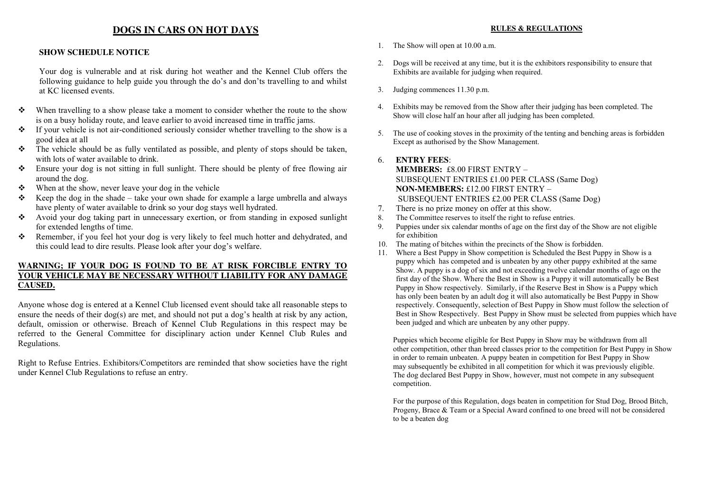## **DOGS IN CARS ON HOT DAYS**

#### **SHOW SCHEDULE NOTICE**

Your dog is vulnerable and at risk during hot weather and the Kennel Club offers the following guidance to help guide you through the do's and don'ts travelling to and whilst at KC licensed events.

- $\div$  When travelling to a show please take a moment to consider whether the route to the show is on a busy holiday route, and leave earlier to avoid increased time in traffic jams.
- $\bullet$  If your vehicle is not air-conditioned seriously consider whether travelling to the show is a good idea at all
- $\hat{\cdot}$  The vehicle should be as fully ventilated as possible, and plenty of stops should be taken, with lots of water available to drink.
- Ensure your dog is not sitting in full sunlight. There should be plenty of free flowing air around the dog.
- $\mathbf{\hat{P}}$  When at the show, never leave your dog in the vehicle
- Keep the dog in the shade take your own shade for example a large umbrella and always have plenty of water available to drink so your dog stays well hydrated.
- Avoid your dog taking part in unnecessary exertion, or from standing in exposed sunlight for extended lengths of time.
- Remember, if you feel hot your dog is very likely to feel much hotter and dehydrated, and this could lead to dire results. Please look after your dog's welfare.

#### **WARNING; IF YOUR DOG IS FOUND TO BE AT RISK FORCIBLE ENTRY TO YOUR VEHICLE MAY BE NECESSARY WITHOUT LIABILITY FOR ANY DAMAGE CAUSED.**

Anyone whose dog is entered at a Kennel Club licensed event should take all reasonable steps to ensure the needs of their dog(s) are met, and should not put a dog's health at risk by any action, default, omission or otherwise. Breach of Kennel Club Regulations in this respect may be referred to the General Committee for disciplinary action under Kennel Club Rules and Regulations.

Right to Refuse Entries. Exhibitors/Competitors are reminded that show societies have the right under Kennel Club Regulations to refuse an entry.

#### **RULES & REGULATIONS**

- 1. The Show will open at 10.00 a.m.
- 2. Dogs will be received at any time, but it is the exhibitors responsibility to ensure that Exhibits are available for judging when required.
- 3. Judging commences 11.30 p.m.
- 4. Exhibits may be removed from the Show after their judging has been completed. The Show will close half an hour after all judging has been completed.
- 5. The use of cooking stoves in the proximity of the tenting and benching areas is forbidden Except as authorised by the Show Management.

#### 6. **ENTRY FEES**:

**MEMBERS:** £8.00 FIRST ENTRY – SUBSEQUENT ENTRIES £1.00 PER CLASS (Same Dog) **NON-MEMBERS:** £12.00 FIRST ENTRY – SUBSEQUENT ENTRIES £2.00 PER CLASS (Same Dog)

- 7. There is no prize money on offer at this show.
- 8. The Committee reserves to itself the right to refuse entries.
- 9. Puppies under six calendar months of age on the first day of the Show are not eligible for exhibition
- 10. The mating of bitches within the precincts of the Show is forbidden.
- 11. Where a Best Puppy in Show competition is Scheduled the Best Puppy in Show is a puppy which has competed and is unbeaten by any other puppy exhibited at the same Show. A puppy is a dog of six and not exceeding twelve calendar months of age on the first day of the Show. Where the Best in Show is a Puppy it will automatically be Best Puppy in Show respectively. Similarly, if the Reserve Best in Show is a Puppy which has only been beaten by an adult dog it will also automatically be Best Puppy in Show respectively. Consequently, selection of Best Puppy in Show must follow the selection of Best in Show Respectively. Best Puppy in Show must be selected from puppies which have been judged and which are unbeaten by any other puppy.

Puppies which become eligible for Best Puppy in Show may be withdrawn from all other competition, other than breed classes prior to the competition for Best Puppy in Show in order to remain unbeaten. A puppy beaten in competition for Best Puppy in Show may subsequently be exhibited in all competition for which it was previously eligible. The dog declared Best Puppy in Show, however, must not compete in any subsequent competition.

For the purpose of this Regulation, dogs beaten in competition for Stud Dog, Brood Bitch, Progeny, Brace & Team or a Special Award confined to one breed will not be considered to be a beaten dog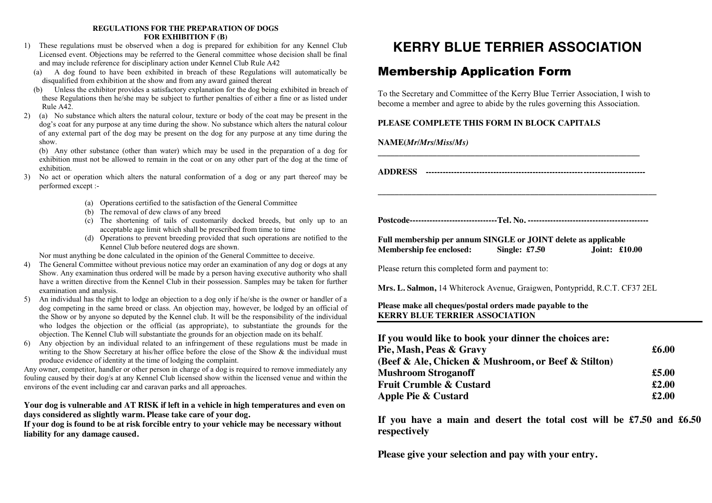#### **REGULATIONS FOR THE PREPARATION OF DOGS FOR EXHIBITION F (B)**

- 1) These regulations must be observed when a dog is prepared for exhibition for any Kennel Club Licensed event. Objections may be referred to the General committee whose decision shall be final and may include reference for disciplinary action under Kennel Club Rule A42
	- (a) A dog found to have been exhibited in breach of these Regulations will automatically be disqualified from exhibition at the show and from any award gained thereat
	- (b) Unless the exhibitor provides a satisfactory explanation for the dog being exhibited in breach of these Regulations then he/she may be subject to further penalties of either a fine or as listed under Rule A42.
- 2) (a) No substance which alters the natural colour, texture or body of the coat may be present in the dog's coat for any purpose at any time during the show. No substance which alters the natural colour of any external part of the dog may be present on the dog for any purpose at any time during the show.

(b) Any other substance (other than water) which may be used in the preparation of a dog for exhibition must not be allowed to remain in the coat or on any other part of the dog at the time of exhibition.

- 3) No act or operation which alters the natural conformation of a dog or any part thereof may be performed except :-
	- (a) Operations certified to the satisfaction of the General Committee
	- (b) The removal of dew claws of any breed
	- (c) The shortening of tails of customarily docked breeds, but only up to an acceptable age limit which shall be prescribed from time to time
	- (d) Operations to prevent breeding provided that such operations are notified to the Kennel Club before neutered dogs are shown.

Nor must anything be done calculated in the opinion of the General Committee to deceive.

- 4) The General Committee without previous notice may order an examination of any dog or dogs at any Show. Any examination thus ordered will be made by a person having executive authority who shall have a written directive from the Kennel Club in their possession. Samples may be taken for further examination and analysis.
- 5) An individual has the right to lodge an objection to a dog only if he/she is the owner or handler of a dog competing in the same breed or class. An objection may, however, be lodged by an official of the Show or by anyone so deputed by the Kennel club. It will be the responsibility of the individual who lodges the objection or the official (as appropriate), to substantiate the grounds for the objection. The Kennel Club will substantiate the grounds for an objection made on its behalf.
- 6) Any objection by an individual related to an infringement of these regulations must be made in writing to the Show Secretary at his/her office before the close of the Show & the individual must produce evidence of identity at the time of lodging the complaint.

Any owner, competitor, handler or other person in charge of a dog is required to remove immediately any fouling caused by their dog/s at any Kennel Club licensed show within the licensed venue and within the environs of the event including car and caravan parks and all approaches.

## **Your dog is vulnerable and AT RISK if left in a vehicle in high temperatures and even on days considered as slightly warm. Please take care of your dog.**

**If your dog is found to be at risk forcible entry to your vehicle may be necessary without liability for any damage caused.**

# **KERRY BLUE TERRIER ASSOCIATION**

## Membership Application Form

To the Secretary and Committee of the Kerry Blue Terrier Association, I wish to become a member and agree to abide by the rules governing this Association.

## **PLEASE COMPLETE THIS FORM IN BLOCK CAPITALS**

**NAME(***Mr/Mrs/Miss/Ms)*

**ADDRESS ------------------------------------------------------------------------------**

**\_\_\_\_\_\_\_\_\_\_\_\_\_\_\_\_\_\_\_\_\_\_\_\_\_\_\_\_\_\_\_\_\_\_\_\_\_\_\_\_\_\_\_\_\_\_\_\_\_\_\_\_\_\_\_\_\_\_\_\_\_\_\_\_\_\_**

**\_\_\_\_\_\_\_\_\_\_\_\_\_\_\_\_\_\_\_\_\_\_\_\_\_\_\_\_\_\_\_\_\_\_\_\_\_\_\_\_\_\_\_\_\_\_\_\_\_\_\_\_\_\_\_\_\_\_\_\_\_\_**

**Postcode-------------------------------Tel. No. -------------------------------------------**

**Full membership per annum SINGLE or JOINT delete as applicable Membership fee enclosed: Single: £7.50 Joint: £10.00**

Please return this completed form and payment to:

**Mrs. L. Salmon,** 14 Whiterock Avenue, Graigwen, Pontypridd, R.C.T. CF37 2EL

## **Please make all cheques/postal orders made payable to the KERRY BLUE TERRIER ASSOCIATION**

| If you would like to book your dinner the choices are: |                |
|--------------------------------------------------------|----------------|
| Pie, Mash, Peas & Gravy                                | $\pounds 6.00$ |
| (Beef & Ale, Chicken & Mushroom, or Beef & Stilton)    |                |
| <b>Mushroom Stroganoff</b>                             | £5.00          |
| <b>Fruit Crumble &amp; Custard</b>                     | £2.00          |
| Apple Pie & Custard                                    | £2.00          |

**If you have a main and desert the total cost will be £7.50 and £6.50 respectively**

**Please give your selection and pay with your entry.**